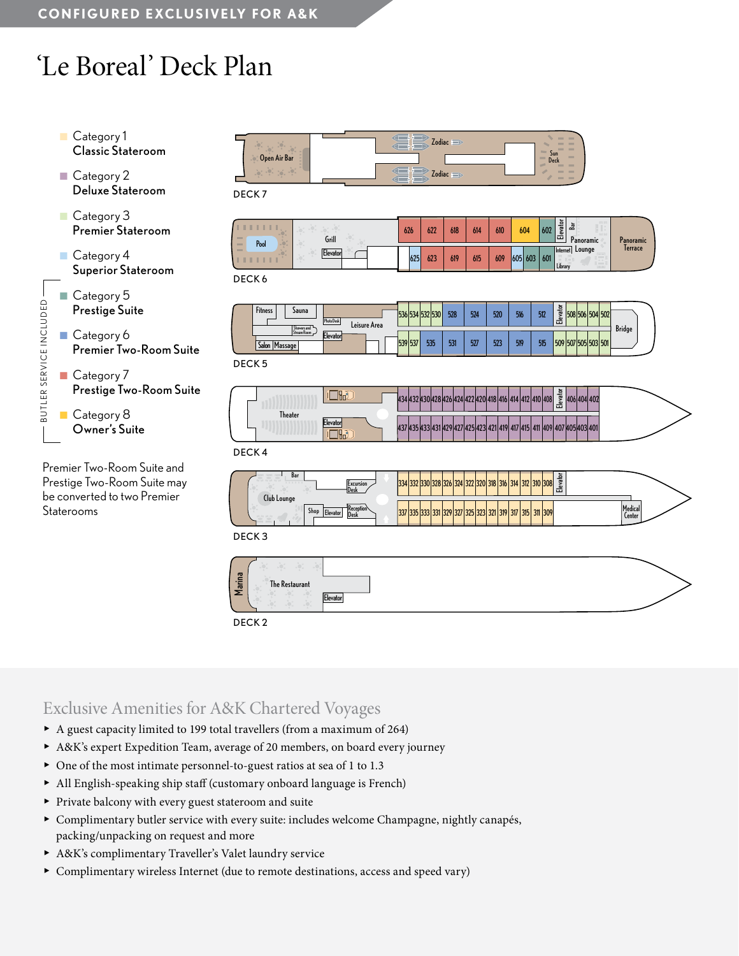# 'Le Boreal' Deck Plan



Premier Two-Room Suite and Prestige Two-Room Suite may be converted to two Premier Staterooms

| Open Air Bar<br>$10^{11}$ $10^{11}$<br>100 | Zodiac <b>supplier</b><br>--<br>Zodiac <b>supplier</b><br>$\sim$ | $\frac{1}{2}$ | --<br><b>COLLECTION</b><br><b>TELEVISION</b><br>$\sim$<br>$\sim$<br><b>Sun</b><br>$\sim$<br>Deck<br>$-$<br>$-$<br>$=$<br><b>Telephone</b> |
|--------------------------------------------|------------------------------------------------------------------|---------------|-------------------------------------------------------------------------------------------------------------------------------------------|
|                                            |                                                                  |               |                                                                                                                                           |

DECK 7

| $\alpha \rightarrow \alpha$<br><b>COLLE</b><br>Pool<br>$\sim$ | Grill    | 626 | 622 | 618 | 614 | 610 | 604     | 602 | ৯<br><b>THE</b><br>$rac{1}{2}$<br>ഷ്<br>$1 + 1$ 1:<br>靣<br>Panoramic | Panoramic |
|---------------------------------------------------------------|----------|-----|-----|-----|-----|-----|---------|-----|----------------------------------------------------------------------|-----------|
| <b>COL</b>                                                    | Elevator | 625 | 623 | 619 | 615 | 609 | 605 603 | 601 | Lounge<br>Internet<br><u>یں</u><br>Library                           | lerrace   |

DECK 6

| <b>Fitness</b><br>Sauna<br>Showers and | Photo Desk<br>Leisure Area | <b>JUTIJJL</b>           |     | 528 | 524 | 520 | RИ<br>JIU | 512 | <b>1</b><br>읇<br>508 506 504 502<br>是 | Bridge |
|----------------------------------------|----------------------------|--------------------------|-----|-----|-----|-----|-----------|-----|---------------------------------------|--------|
| Stream Room<br>Salon<br>IMassage       | Elevator                   | 539<br><b>FOT</b><br>ונכ | 535 | 531 | 527 | 523 | 519       | 515 | 507 505 503 501<br>509                |        |

DECK 5

|                |          | $\circ$<br>ᇽ<br>1404<br>140014041<br>4V)<br>õ<br>ш                                                         |  |
|----------------|----------|------------------------------------------------------------------------------------------------------------|--|
| <b>Theater</b> | Elevator | ادورا<br>104<br>140514031401<br>14291423142114191<br>431<br><b>1413 411 40Y</b><br><b>HJJHJJHJIHLY 4LI</b> |  |

DECK 4

| Bar<br>33333<br><b>I</b> Excursion<br>1 Desk                                | <b>GO</b> | 2 330 328 326 324 322 320 318 316 314 312 310 308 1             | levato<br>ш |                          |
|-----------------------------------------------------------------------------|-----------|-----------------------------------------------------------------|-------------|--------------------------|
| <b>Club Lounge</b><br>1 Keception<br><b>Shop</b><br><b>Llevato</b><br>l Des | UUU UUU   | 331   329   327   325   323   321   319   317   315   311   309 |             | Medical<br><b>Center</b> |

DECK 3



### Exclusive Amenities for A&K Chartered Voyages

- ▶ A guest capacity limited to 199 total travellers (from a maximum of 264)
- ▶ A&K's expert Expedition Team, average of 20 members, on board every journey
- ▶ One of the most intimate personnel-to-guest ratios at sea of 1 to 1.3
- ▶ All English-speaking ship staff (customary onboard language is French)
- ▶ Private balcony with every guest stateroom and suite
- ▶ Complimentary butler service with every suite: includes welcome Champagne, nightly canapés, packing/unpacking on request and more
- ▶ A&K's complimentary Traveller's Valet laundry service
- ▶ Complimentary wireless Internet (due to remote destinations, access and speed vary)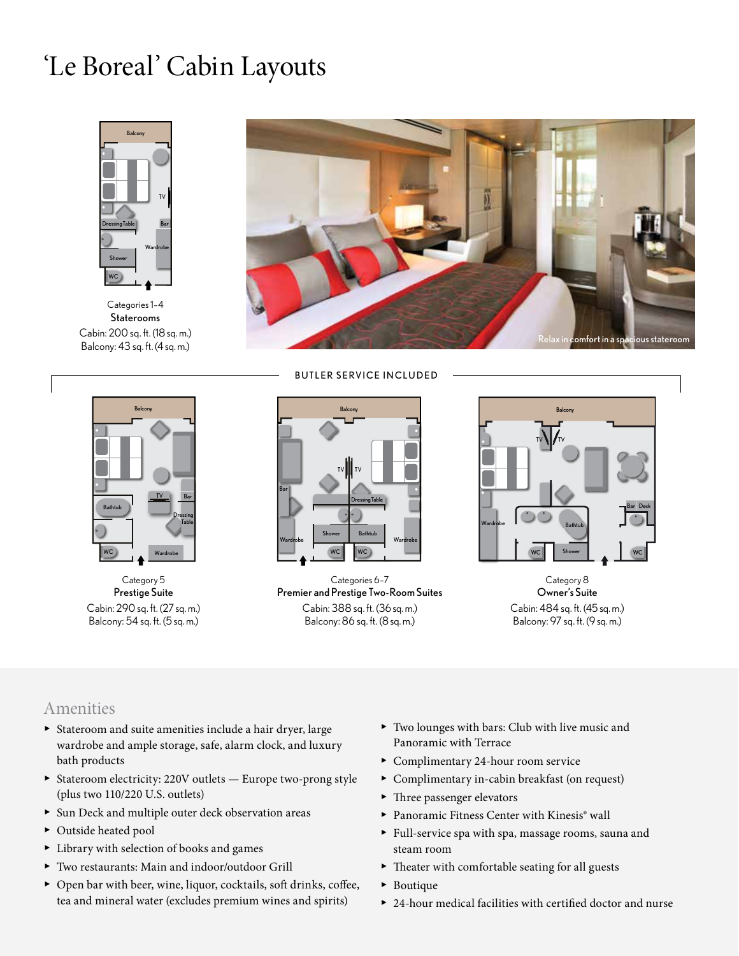### 'Le Boreal' Cabin Layouts



Categories 1–4 Staterooms Cabin: 200 sq. ft. (18 sq. m.) Balcony: 43 sq. ft. (4 sq. m.)





Category 5 Prestige Suite Cabin: 290 sq. ft. (27 sq. m.) Balcony: 54 sq. ft. (5 sq. m.)



Categories 6–7 Premier and Prestige Two-Room Suites Cabin: 388 sq. ft. (36 sq. m.) Balcony: 86 sq. ft. (8 sq. m.)



Category 8 Owner's Suite Cabin: 484 sq. ft. (45 sq. m.) Balcony: 97 sq. ft. (9 sq. m.)

#### Amenities

- ▶ Stateroom and suite amenities include a hair dryer, large wardrobe and ample storage, safe, alarm clock, and luxury bath products
- ▶ Stateroom electricity: 220V outlets Europe two-prong style (plus two 110/220 U.S. outlets)
- ▶ Sun Deck and multiple outer deck observation areas
- ▶ Outside heated pool
- ▶ Library with selection of books and games
- ▶ Two restaurants: Main and indoor/outdoor Grill
- ▶ Open bar with beer, wine, liquor, cocktails, soft drinks, coffee, tea and mineral water (excludes premium wines and spirits)
- ▶ Two lounges with bars: Club with live music and Panoramic with Terrace
- ▶ Complimentary 24-hour room service
- ▶ Complimentary in-cabin breakfast (on request)
- ▶ Three passenger elevators
- ▶ Panoramic Fitness Center with Kinesis® wall
- ▶ Full-service spa with spa, massage rooms, sauna and steam room
- ▶ Theater with comfortable seating for all guests
- ▶ Boutique
- ▶ 24-hour medical facilities with certified doctor and nurse